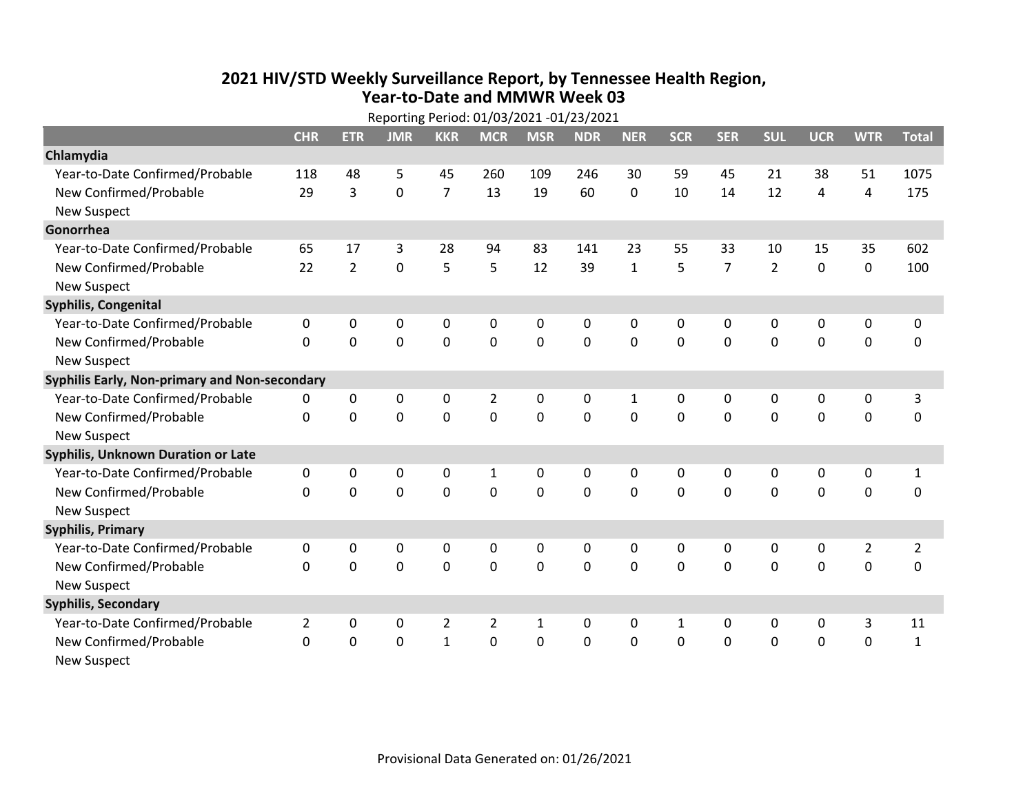## **2021 HIV /STD Weekly Surveillance Report, by Tennessee Health Region, Year‐to‐Date and MMWR Week 03** Reporting Period: 01/03/2021 ‐01/23/2021

| Reporting Period: 01/03/2021 -01/23/2021      |                |                |             |                |                |              |            |              |              |                |                |             |                |                |
|-----------------------------------------------|----------------|----------------|-------------|----------------|----------------|--------------|------------|--------------|--------------|----------------|----------------|-------------|----------------|----------------|
|                                               | <b>CHR</b>     | <b>ETR</b>     | <b>JMR</b>  | <b>KKR</b>     | <b>MCR</b>     | <b>MSR</b>   | <b>NDR</b> | <b>NER</b>   | <b>SCR</b>   | <b>SER</b>     | <b>SUL</b>     | <b>UCR</b>  | <b>WTR</b>     | <b>Total</b>   |
| Chlamydia                                     |                |                |             |                |                |              |            |              |              |                |                |             |                |                |
| Year-to-Date Confirmed/Probable               | 118            | 48             | 5           | 45             | 260            | 109          | 246        | 30           | 59           | 45             | 21             | 38          | 51             | 1075           |
| New Confirmed/Probable                        | 29             | 3              | $\mathbf 0$ | $\overline{7}$ | 13             | 19           | 60         | $\mathbf 0$  | 10           | 14             | 12             | 4           | 4              | 175            |
| <b>New Suspect</b>                            |                |                |             |                |                |              |            |              |              |                |                |             |                |                |
| Gonorrhea                                     |                |                |             |                |                |              |            |              |              |                |                |             |                |                |
| Year-to-Date Confirmed/Probable               | 65             | 17             | 3           | 28             | 94             | 83           | 141        | 23           | 55           | 33             | 10             | 15          | 35             | 602            |
| New Confirmed/Probable                        | 22             | $\overline{2}$ | $\mathbf 0$ | 5              | 5              | 12           | 39         | $\mathbf{1}$ | 5            | $\overline{7}$ | $\overline{2}$ | $\mathbf 0$ | $\pmb{0}$      | 100            |
| <b>New Suspect</b>                            |                |                |             |                |                |              |            |              |              |                |                |             |                |                |
| <b>Syphilis, Congenital</b>                   |                |                |             |                |                |              |            |              |              |                |                |             |                |                |
| Year-to-Date Confirmed/Probable               | 0              | 0              | 0           | $\mathbf 0$    | 0              | $\mathbf 0$  | 0          | 0            | 0            | $\mathbf 0$    | 0              | $\mathbf 0$ | $\pmb{0}$      | 0              |
| New Confirmed/Probable                        | $\Omega$       | $\mathbf 0$    | $\mathbf 0$ | $\mathbf 0$    | $\mathbf 0$    | $\mathbf 0$  | 0          | $\Omega$     | $\Omega$     | $\mathbf 0$    | $\mathbf 0$    | $\mathbf 0$ | $\mathbf 0$    | $\mathbf 0$    |
| <b>New Suspect</b>                            |                |                |             |                |                |              |            |              |              |                |                |             |                |                |
| Syphilis Early, Non-primary and Non-secondary |                |                |             |                |                |              |            |              |              |                |                |             |                |                |
| Year-to-Date Confirmed/Probable               | 0              | 0              | 0           | 0              | $\overline{2}$ | $\mathbf 0$  | 0          | 1            | 0            | 0              | 0              | 0           | 0              | 3              |
| New Confirmed/Probable                        | $\mathbf{0}$   | 0              | 0           | 0              | $\mathbf 0$    | $\mathbf 0$  | 0          | $\Omega$     | $\Omega$     | $\Omega$       | $\mathbf 0$    | $\mathbf 0$ | $\mathbf 0$    | 0              |
| <b>New Suspect</b>                            |                |                |             |                |                |              |            |              |              |                |                |             |                |                |
| <b>Syphilis, Unknown Duration or Late</b>     |                |                |             |                |                |              |            |              |              |                |                |             |                |                |
| Year-to-Date Confirmed/Probable               | 0              | 0              | $\Omega$    | $\mathbf{0}$   | $\mathbf{1}$   | $\mathbf 0$  | 0          | 0            | $\Omega$     | $\mathbf 0$    | $\mathbf{0}$   | 0           | 0              | $\mathbf{1}$   |
| New Confirmed/Probable                        | $\Omega$       | $\Omega$       | $\Omega$    | $\Omega$       | $\Omega$       | $\mathbf{0}$ | $\Omega$   | $\Omega$     | $\Omega$     | $\Omega$       | $\Omega$       | $\Omega$    | $\mathbf 0$    | $\mathbf 0$    |
| <b>New Suspect</b>                            |                |                |             |                |                |              |            |              |              |                |                |             |                |                |
| <b>Syphilis, Primary</b>                      |                |                |             |                |                |              |            |              |              |                |                |             |                |                |
| Year-to-Date Confirmed/Probable               | $\mathbf{0}$   | $\mathbf{0}$   | 0           | 0              | 0              | 0            | 0          | 0            | $\Omega$     | $\mathbf{0}$   | 0              | 0           | $\overline{2}$ | $\overline{2}$ |
| New Confirmed/Probable                        | $\Omega$       | 0              | 0           | 0              | $\mathbf 0$    | $\mathbf 0$  | 0          | $\Omega$     | $\Omega$     | $\Omega$       | $\overline{0}$ | $\mathbf 0$ | 0              | 0              |
| <b>New Suspect</b>                            |                |                |             |                |                |              |            |              |              |                |                |             |                |                |
| <b>Syphilis, Secondary</b>                    |                |                |             |                |                |              |            |              |              |                |                |             |                |                |
| Year-to-Date Confirmed/Probable               | $\overline{2}$ | 0              | 0           | $\overline{2}$ | $\overline{2}$ | $\mathbf{1}$ | 0          | $\mathbf{0}$ | $\mathbf{1}$ | $\Omega$       | $\mathbf{0}$   | 0           | 3              | 11             |
| New Confirmed/Probable                        | $\Omega$       | 0              | 0           | $\mathbf{1}$   | 0              | $\mathbf 0$  | $\Omega$   | $\Omega$     | $\Omega$     | $\mathbf 0$    | $\mathbf 0$    | $\mathbf 0$ | $\mathbf 0$    | $\mathbf 1$    |
| <b>New Suspect</b>                            |                |                |             |                |                |              |            |              |              |                |                |             |                |                |